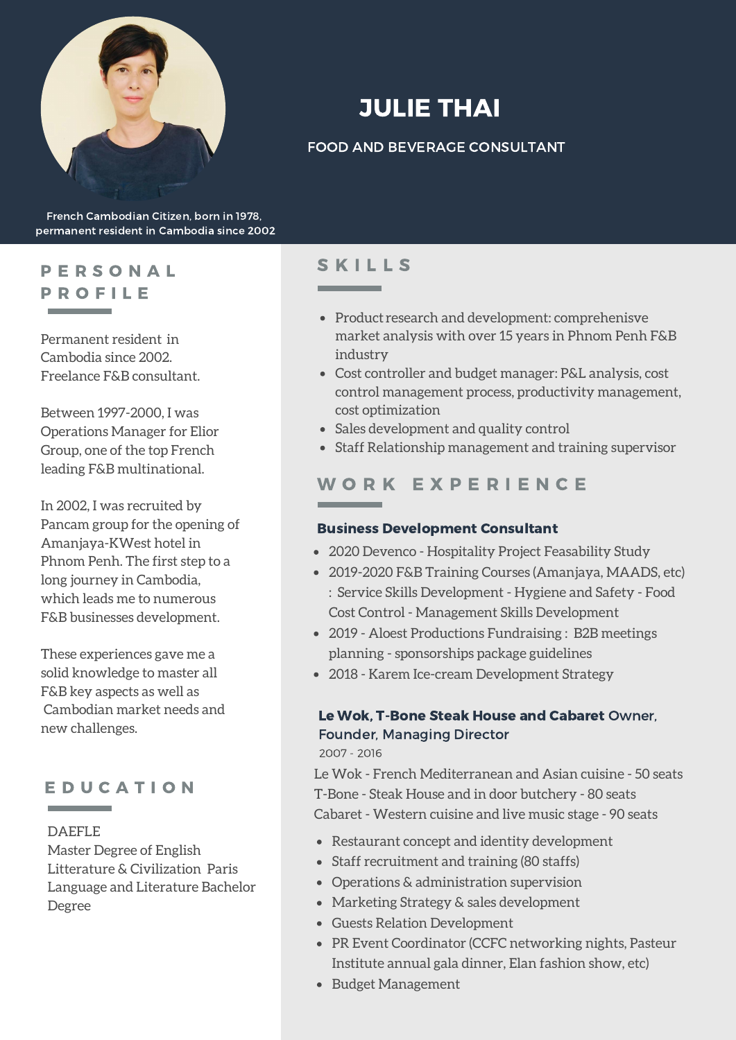

# JULIE THAI

### FOOD AND BEVERAGE CONSULTANT

French Cambodian Citizen, born in 1978, permanent resident in Cambodia since 2002

# P E R S O N A L P R O F I L E

Permanent resident in Cambodia since 2002. Freelance F&B consultant.

Between 1997-2000, I was Operations Manager for Elior Group, one of the top French leading F&B multinational.

In 2002, I was recruited by Pancam group for the opening of Amanjaya-KWest hotel in Phnom Penh. The first step to a long journey in Cambodia, which leads me to numerous F&B businesses development.

These experiences gave me a solid knowledge to master all F&B key aspects as well as Cambodian market needs and new challenges.

## E D U C A T I O N

#### DAEFLE

Master Degree of English Litterature & Civilization Paris Language and Literature Bachelor Degree

# **SKILLS**

- Product research and development: comprehenisve market analysis with over 15 years in Phnom Penh F&B industry
- Cost controller and budget manager: P&L analysis, cost control management process, productivity management, cost optimization
- Sales development and quality control
- Staff Relationship management and training supervisor

# W O R K E X P E R I E N C E

#### Business Development Consultant

- 2020 Devenco Hospitality Project Feasability Study
- 2019-2020 F&B Training Courses (Amanjaya, MAADS, etc) : Service Skills Development - Hygiene and Safety - Food Cost Control - Management Skills Development
- 2019 Aloest Productions Fundraising : B2B meetings planning - sponsorships package guidelines
- 2018 Karem Ice-cream Development Strategy

#### Le Wok, T-Bone Steak House and Cabaret Owner, Founder, Managing Director

2007 - 2016

Le Wok - French Mediterranean and Asian cuisine - 50 seats T-Bone - Steak House and in door butchery - 80 seats Cabaret - Western cuisine and live music stage - 90 seats

- Restaurant concept and identity development
- Staff recruitment and training (80 staffs)
- Operations & administration supervision
- Marketing Strategy & sales development
- Guests Relation Development
- PR Event Coordinator (CCFC networking nights, Pasteur Institute annual gala dinner, Elan fashion show, etc)
- Budget Management